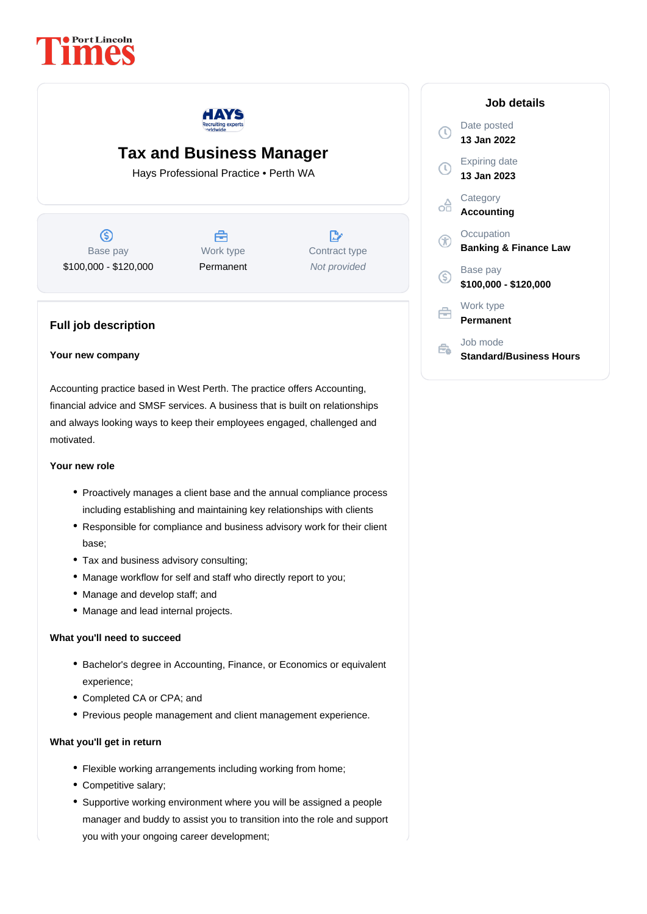



# **Tax and Business Manager**

Hays Professional Practice • Perth WA

 $\circledS$ Base pay \$100,000 - \$120,000



 $\mathbb{R}$ Contract type Not provided

# **Full job description**

#### **Your new company**

Accounting practice based in West Perth. The practice offers Accounting, financial advice and SMSF services. A business that is built on relationships and always looking ways to keep their employees engaged, challenged and motivated.

## **Your new role**

- Proactively manages a client base and the annual compliance process including establishing and maintaining key relationships with clients
- Responsible for compliance and business advisory work for their client base;
- Tax and business advisory consulting;
- Manage workflow for self and staff who directly report to you;
- Manage and develop staff; and
- Manage and lead internal projects.

### **What you'll need to succeed**

- Bachelor's degree in Accounting, Finance, or Economics or equivalent experience;
- Completed CA or CPA; and
- Previous people management and client management experience.

#### **What you'll get in return**

- Flexible working arrangements including working from home;
- Competitive salary;
- Supportive working environment where you will be assigned a people manager and buddy to assist you to transition into the role and support you with your ongoing career development;

| Job details                                    |
|------------------------------------------------|
| Date posted<br>13 Jan 2022                     |
| <b>Expiring date</b><br>13 Jan 2023            |
| Category<br>Accounting                         |
| Occupation<br><b>Banking &amp; Finance Law</b> |
| Base pay<br>\$100,000 - \$120,000              |
| Work type<br>Permanent                         |
| Job mode<br>Standard/Business Hours            |